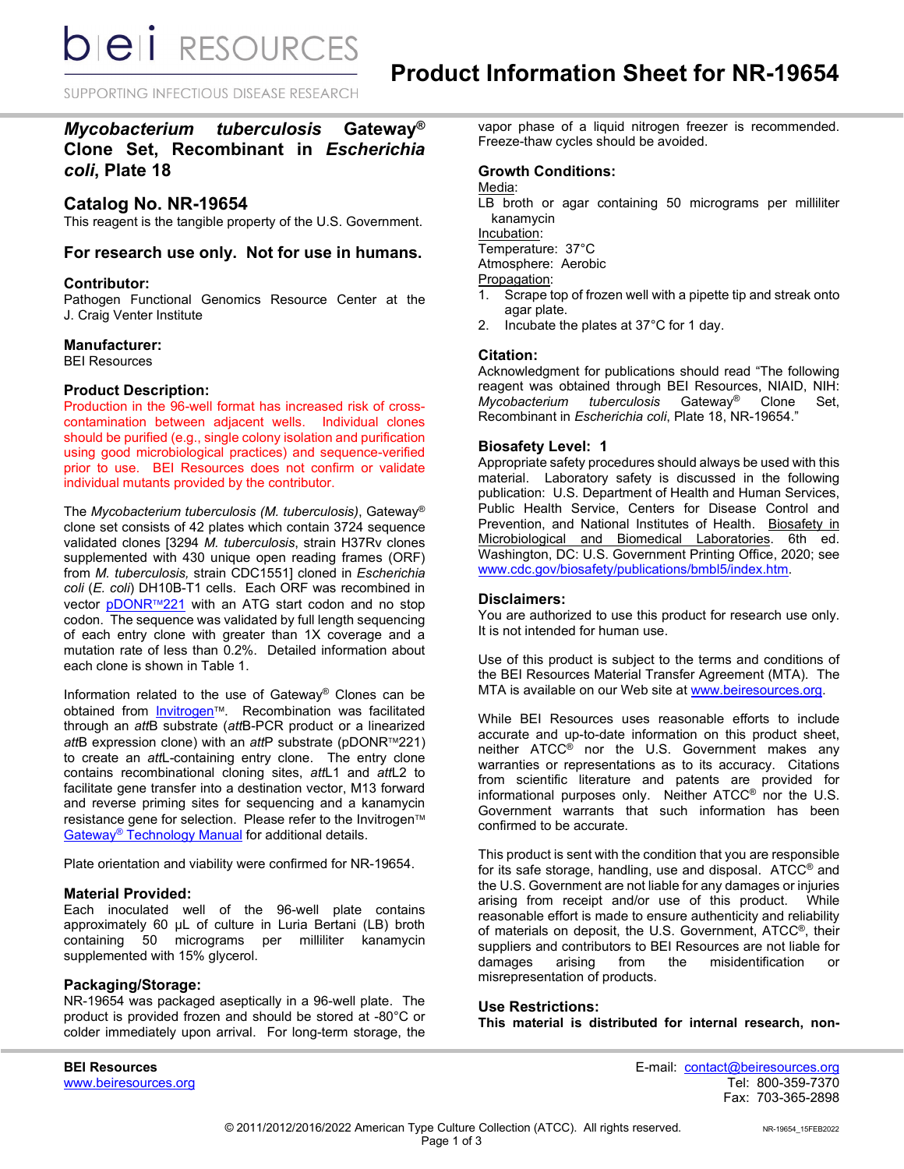*DIEI RESOURCES* 

SUPPORTING INFECTIOUS DISEASE RESEARCH

## *Mycobacterium tuberculosis* **Gateway® Clone Set, Recombinant in** *Escherichia coli***, Plate 18**

## **Catalog No. NR-19654**

This reagent is the tangible property of the U.S. Government.

### **For research use only. Not for use in humans.**

#### **Contributor:**

Pathogen Functional Genomics Resource Center at the J. Craig Venter Institute

#### **Manufacturer:**

BEI Resources

#### **Product Description:**

Production in the 96-well format has increased risk of crosscontamination between adjacent wells. Individual clones should be purified (e.g., single colony isolation and purification using good microbiological practices) and sequence-verified prior to use. BEI Resources does not confirm or validate individual mutants provided by the contributor.

The *Mycobacterium tuberculosis (M. tuberculosis)*, Gateway® clone set consists of 42 plates which contain 3724 sequence validated clones [3294 *M. tuberculosis*, strain H37Rv clones supplemented with 430 unique open reading frames (ORF) from *M. tuberculosis,* strain CDC1551] cloned in *Escherichia coli* (*E. coli*) DH10B-T1 cells. Each ORF was recombined in vector [pDONR](http://products.invitrogen.com/ivgn/product/12536017)<sup>™221</sup> with an ATG start codon and no stop codon. The sequence was validated by full length sequencing of each entry clone with greater than 1X coverage and a mutation rate of less than 0.2%. Detailed information about each clone is shown in Table 1.

Information related to the use of Gateway® Clones can be obtained from **Invitrogen™**. Recombination was facilitated through an *att*B substrate (*att*B-PCR product or a linearized *att*B expression clone) with an *att*P substrate (pDONR™221) to create an *att*L-containing entry clone. The entry clone contains recombinational cloning sites, *att*L1 and *att*L2 to facilitate gene transfer into a destination vector, M13 forward and reverse priming sites for sequencing and a kanamycin resistance gene for selection. Please refer to the Invitrogen™ Gateway<sup>®</sup> [Technology Manual](http://tools.invitrogen.com/content/sfs/manuals/gatewayman.pdf) for additional details.

Plate orientation and viability were confirmed for NR-19654.

#### **Material Provided:**

Each inoculated well of the 96-well plate contains approximately 60 µL of culture in Luria Bertani (LB) broth containing 50 micrograms per milliliter kanamycin supplemented with 15% glycerol.

#### **Packaging/Storage:**

NR-19654 was packaged aseptically in a 96-well plate. The product is provided frozen and should be stored at -80°C or colder immediately upon arrival. For long-term storage, the vapor phase of a liquid nitrogen freezer is recommended. Freeze-thaw cycles should be avoided.

### **Growth Conditions:**

Media:

LB broth or agar containing 50 micrograms per milliliter kanamycin

Incubation:

Temperature: 37°C

Atmosphere: Aerobic

Propagation:<br>1. Scrape t

- Scrape top of frozen well with a pipette tip and streak onto agar plate.
- 2. Incubate the plates at 37°C for 1 day.

#### **Citation:**

Acknowledgment for publications should read "The following reagent was obtained through BEI Resources, NIAID, NIH: *Mycobacterium tuberculosis* Gateway® Clone Set, Recombinant in *Escherichia coli*, Plate 18, NR-19654."

#### **Biosafety Level: 1**

Appropriate safety procedures should always be used with this material. Laboratory safety is discussed in the following publication: U.S. Department of Health and Human Services, Public Health Service, Centers for Disease Control and Prevention, and National Institutes of Health. Biosafety in Microbiological and Biomedical Laboratories. 6th ed. Washington, DC: U.S. Government Printing Office, 2020; see [www.cdc.gov/biosafety/publications/bmbl5/index.htm.](http://www.cdc.gov/biosafety/publications/bmbl5/index.htm)

#### **Disclaimers:**

You are authorized to use this product for research use only. It is not intended for human use.

Use of this product is subject to the terms and conditions of the BEI Resources Material Transfer Agreement (MTA). The MTA is available on our Web site at [www.beiresources.org.](http://www.beiresources.org/)

While BEI Resources uses reasonable efforts to include accurate and up-to-date information on this product sheet, neither ATCC® nor the U.S. Government makes any warranties or representations as to its accuracy. Citations from scientific literature and patents are provided for informational purposes only. Neither ATCC® nor the U.S. Government warrants that such information has been confirmed to be accurate.

This product is sent with the condition that you are responsible for its safe storage, handling, use and disposal. ATCC® and the U.S. Government are not liable for any damages or injuries arising from receipt and/or use of this product. While reasonable effort is made to ensure authenticity and reliability of materials on deposit, the U.S. Government, ATCC®, their suppliers and contributors to BEI Resources are not liable for damages arising from the misidentification or misrepresentation of products.

## **Use Restrictions: This material is distributed for internal research, non-**

www.beiresources.org

**BEI Resources** E-mail: contact@beiresources.org Fax: 703-365-2898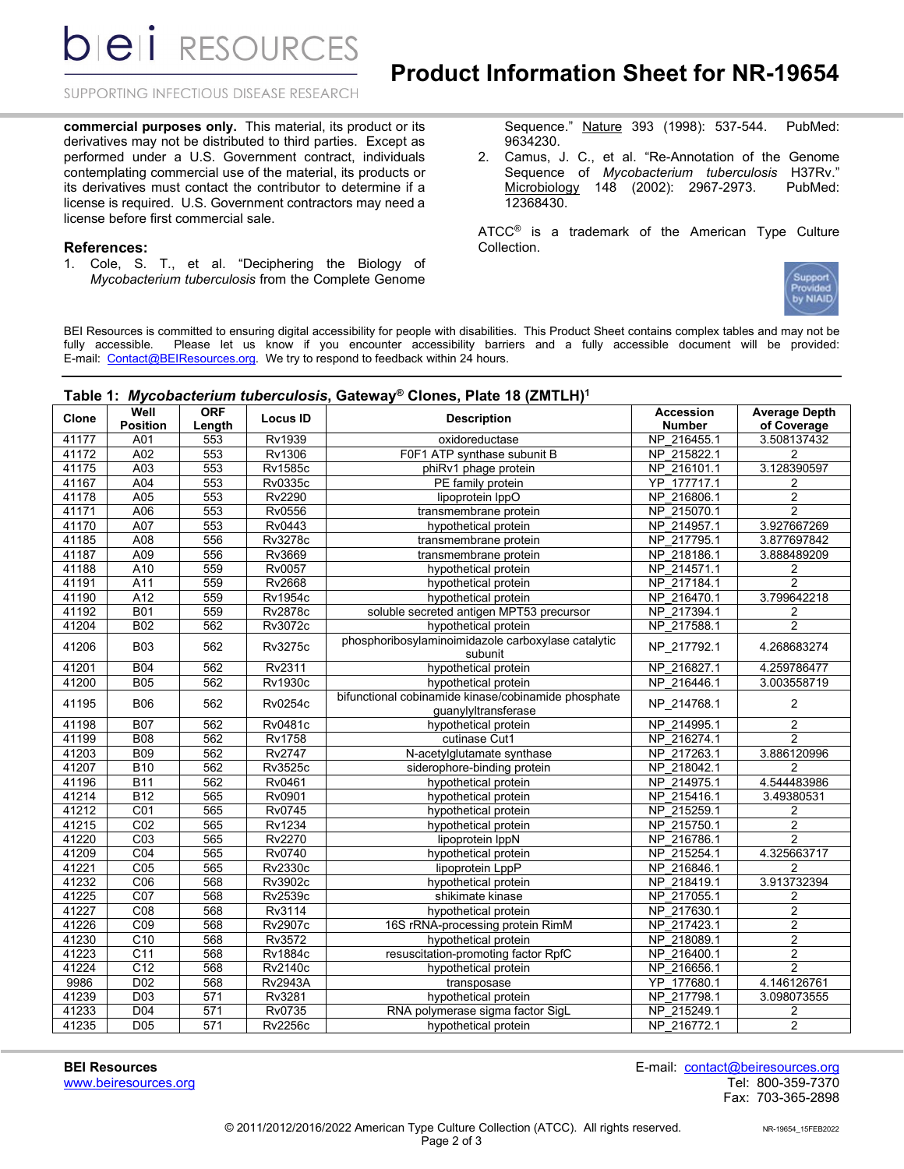**bieli** RESOURCES

## **Product Information Sheet for NR-19654**

SUPPORTING INFECTIOUS DISEASE RESEARCH

**commercial purposes only.** This material, its product or its derivatives may not be distributed to third parties. Except as performed under a U.S. Government contract, individuals contemplating commercial use of the material, its products or its derivatives must contact the contributor to determine if a license is required. U.S. Government contractors may need a license before first commercial sale.

#### **References:**

1. Cole, S. T., et al. "Deciphering the Biology of *Mycobacterium tuberculosis* from the Complete Genome Sequence." Nature 393 (1998): 537-544. PubMed: 9634230.

2. Camus, J. C., et al. "Re-Annotation of the Genome Sequence of *Mycobacterium tuberculosis* H37Rv." Microbiology 148 (2002): 2967-2973. PubMed: 12368430.

ATCC<sup>®</sup> is a trademark of the American Type Culture Collection.



BEI Resources is committed to ensuring digital accessibility for people with disabilities. This Product Sheet contains complex tables and may not be fully accessible. Please let us know if you encounter accessibility barriers and a fully accessible document will be provided: E-mail: [Contact@BEIResources.org.](mailto:Contact@BEIResources.org) We try to respond to feedback within 24 hours.

## **Table 1:** *Mycobacterium tuberculosis***, Gateway® Clones, Plate 18 (ZMTLH) 1**

| <b>Accession</b><br>Clone<br><b>Locus ID</b><br><b>Description</b><br><b>Position</b><br><b>Number</b><br>of Coverage<br>Length<br>A01<br>553<br>Rv1939<br>NP 216455.1<br>3.508137432<br>41177<br>oxidoreductase<br>41172<br>A02<br>553<br>Rv1306<br>F0F1 ATP synthase subunit B<br>NP 215822.1<br>2<br>553<br><b>Rv1585c</b><br>NP 216101.1<br>3.128390597<br>41175<br>A03<br>phiRv1 phage protein<br>553<br>YP 177717.1<br>A04<br><b>Rv0335c</b><br>41167<br>PE family protein<br>$\overline{\mathbf{c}}$<br>A05<br>553<br>Rv2290<br>NP 216806.1<br>$\overline{2}$<br>41178<br>lipoprotein IppO<br>41171<br>553<br>NP 215070.1<br>$\overline{2}$<br>A06<br>Rv0556<br>transmembrane protein<br>553<br>3.927667269<br>41170<br>A07<br>Rv0443<br>NP 214957.1<br>hypothetical protein<br>41185<br>A08<br>556<br><b>Rv3278c</b><br>NP 217795.1<br>3.877697842<br>transmembrane protein<br>556<br>41187<br>A09<br>Rv3669<br>NP 218186.1<br>3.888489209<br>transmembrane protein<br>559<br>41188<br>A10<br>Rv0057<br>NP 214571.1<br>hypothetical protein<br>2<br>$\overline{2}$<br>559<br>Rv2668<br>NP 217184.1<br>41191<br>A11<br>hypothetical protein<br>559<br>3.799642218<br>41190<br>A12<br><b>Rv1954c</b><br>NP 216470.1<br>hypothetical protein<br><b>B01</b><br>559<br>41192<br><b>Rv2878c</b><br>soluble secreted antigen MPT53 precursor<br>NP 217394.1<br>2<br>$\overline{2}$<br>562<br>NP 217588.1<br>41204<br><b>B02</b><br>Rv3072c<br>hypothetical protein<br>phosphoribosylaminoimidazole carboxylase catalytic<br>41206<br><b>B03</b><br>562<br>Rv3275c<br>NP_217792.1<br>4.268683274<br>subunit<br>41201<br><b>B04</b><br>562<br>hypothetical protein<br>NP 216827.1<br>Rv2311<br>4.259786477<br>NP 216446.1<br>562<br><b>Rv1930c</b><br>hypothetical protein<br>3.003558719<br>41200<br><b>B05</b><br>bifunctional cobinamide kinase/cobinamide phosphate<br><b>B06</b><br>562<br>Rv0254c<br>NP_214768.1<br>$\mathbf{2}$<br>41195<br>guanylyltransferase<br><b>B07</b><br>562<br>NP 214995.1<br>41198<br>Rv0481c<br>hypothetical protein<br>2<br>$\overline{2}$<br><b>B08</b><br>562<br>NP 216274.1<br>41199<br><b>Rv1758</b><br>cutinase Cut1<br>562<br>Rv2747<br>3.886120996<br>41203<br><b>B09</b><br>NP 217263.1<br>N-acetylglutamate synthase<br>562<br><b>Rv3525c</b><br>NP 218042.1<br>41207<br><b>B10</b><br>siderophore-binding protein<br>2<br>4.544483986<br><b>B11</b><br>562<br>Rv0461<br>NP 214975.1<br>41196<br>hypothetical protein<br>NP 215416.1<br>41214<br><b>B12</b><br>565<br>Rv0901<br>hypothetical protein<br>3.49380531<br>565<br><b>Rv0745</b><br>41212<br>C <sub>01</sub><br>hypothetical protein<br>NP 215259.1<br>$\overline{\mathbf{c}}$<br>CO <sub>2</sub><br>565<br>Rv1234<br>NP 215750.1<br>$\overline{2}$<br>41215<br>hypothetical protein<br>41220<br>$\overline{CO3}$<br>565<br>Rv2270<br>NP 216786.1<br>$\overline{2}$<br>lipoprotein IppN<br><b>Rv0740</b><br>NP 215254.1<br>4.325663717<br>41209<br>CO <sub>4</sub><br>565<br>hypothetical protein<br>C <sub>05</sub><br>565<br><b>Rv2330c</b><br>NP 216846.1<br>41221<br>lipoprotein LppP<br>$\overline{2}$<br>3.913732394<br>568<br>NP 218419.1<br>41232<br>C06<br>Rv3902c<br>hypothetical protein<br>C <sub>07</sub><br>41225<br>568<br>Rv2539c<br>NP 217055.1<br>shikimate kinase<br>2<br>41227<br>C <sub>08</sub><br>568<br>Rv3114<br>NP 217630.1<br>$\overline{2}$<br>hypothetical protein<br>$\overline{2}$<br>568<br>41226<br>$\overline{CO9}$<br><b>Rv2907c</b><br>16S rRNA-processing protein RimM<br>NP 217423.1<br>$\overline{2}$<br>41230<br>C <sub>10</sub><br>568<br>Rv3572<br>NP 218089.1<br>hypothetical protein<br>$\overline{2}$<br>41223<br>C11<br>568<br>NP 216400.1<br><b>Rv1884c</b><br>resuscitation-promoting factor RpfC<br>$\overline{2}$<br>$\overline{C12}$<br>568<br>NP 216656.1<br>41224<br><b>Rv2140c</b><br>hypothetical protein<br>9986<br>D <sub>02</sub><br>568<br><b>Rv2943A</b><br>YP 177680.1<br>4.146126761<br>transposase<br>D03<br>571<br>NP 217798.1<br>41239<br>Rv3281<br>hypothetical protein<br>3.098073555<br>571<br>41233<br>D04<br>Rv0735<br>NP 215249.1<br>RNA polymerase sigma factor SigL<br>2<br>41235<br>571<br>$\overline{2}$<br>D <sub>05</sub><br><b>Rv2256c</b><br>NP 216772.1 |  |                    | , adio , <i>my</i> codacto <i>riam tadoroarosis, catona</i> |                      |                      |
|----------------------------------------------------------------------------------------------------------------------------------------------------------------------------------------------------------------------------------------------------------------------------------------------------------------------------------------------------------------------------------------------------------------------------------------------------------------------------------------------------------------------------------------------------------------------------------------------------------------------------------------------------------------------------------------------------------------------------------------------------------------------------------------------------------------------------------------------------------------------------------------------------------------------------------------------------------------------------------------------------------------------------------------------------------------------------------------------------------------------------------------------------------------------------------------------------------------------------------------------------------------------------------------------------------------------------------------------------------------------------------------------------------------------------------------------------------------------------------------------------------------------------------------------------------------------------------------------------------------------------------------------------------------------------------------------------------------------------------------------------------------------------------------------------------------------------------------------------------------------------------------------------------------------------------------------------------------------------------------------------------------------------------------------------------------------------------------------------------------------------------------------------------------------------------------------------------------------------------------------------------------------------------------------------------------------------------------------------------------------------------------------------------------------------------------------------------------------------------------------------------------------------------------------------------------------------------------------------------------------------------------------------------------------------------------------------------------------------------------------------------------------------------------------------------------------------------------------------------------------------------------------------------------------------------------------------------------------------------------------------------------------------------------------------------------------------------------------------------------------------------------------------------------------------------------------------------------------------------------------------------------------------------------------------------------------------------------------------------------------------------------------------------------------------------------------------------------------------------------------------------------------------------------------------------------------------------------------------------------------------------------------------------------------------------------------------------------------------------------------------------------------------------------------------------------------------------------------------------------------------------------------------------------------------------------------------------------------------------------------------------------------------------------------------------------------------------------------------------------------------------------------------------------------------------------------------------------------------------------------|--|--------------------|-------------------------------------------------------------|----------------------|----------------------|
|                                                                                                                                                                                                                                                                                                                                                                                                                                                                                                                                                                                                                                                                                                                                                                                                                                                                                                                                                                                                                                                                                                                                                                                                                                                                                                                                                                                                                                                                                                                                                                                                                                                                                                                                                                                                                                                                                                                                                                                                                                                                                                                                                                                                                                                                                                                                                                                                                                                                                                                                                                                                                                                                                                                                                                                                                                                                                                                                                                                                                                                                                                                                                                                                                                                                                                                                                                                                                                                                                                                                                                                                                                                                                                                                                                                                                                                                                                                                                                                                                                                                                                                                                                                                                                              |  | Well<br><b>ORF</b> |                                                             |                      | <b>Average Depth</b> |
|                                                                                                                                                                                                                                                                                                                                                                                                                                                                                                                                                                                                                                                                                                                                                                                                                                                                                                                                                                                                                                                                                                                                                                                                                                                                                                                                                                                                                                                                                                                                                                                                                                                                                                                                                                                                                                                                                                                                                                                                                                                                                                                                                                                                                                                                                                                                                                                                                                                                                                                                                                                                                                                                                                                                                                                                                                                                                                                                                                                                                                                                                                                                                                                                                                                                                                                                                                                                                                                                                                                                                                                                                                                                                                                                                                                                                                                                                                                                                                                                                                                                                                                                                                                                                                              |  |                    |                                                             |                      |                      |
|                                                                                                                                                                                                                                                                                                                                                                                                                                                                                                                                                                                                                                                                                                                                                                                                                                                                                                                                                                                                                                                                                                                                                                                                                                                                                                                                                                                                                                                                                                                                                                                                                                                                                                                                                                                                                                                                                                                                                                                                                                                                                                                                                                                                                                                                                                                                                                                                                                                                                                                                                                                                                                                                                                                                                                                                                                                                                                                                                                                                                                                                                                                                                                                                                                                                                                                                                                                                                                                                                                                                                                                                                                                                                                                                                                                                                                                                                                                                                                                                                                                                                                                                                                                                                                              |  |                    |                                                             |                      |                      |
|                                                                                                                                                                                                                                                                                                                                                                                                                                                                                                                                                                                                                                                                                                                                                                                                                                                                                                                                                                                                                                                                                                                                                                                                                                                                                                                                                                                                                                                                                                                                                                                                                                                                                                                                                                                                                                                                                                                                                                                                                                                                                                                                                                                                                                                                                                                                                                                                                                                                                                                                                                                                                                                                                                                                                                                                                                                                                                                                                                                                                                                                                                                                                                                                                                                                                                                                                                                                                                                                                                                                                                                                                                                                                                                                                                                                                                                                                                                                                                                                                                                                                                                                                                                                                                              |  |                    |                                                             |                      |                      |
|                                                                                                                                                                                                                                                                                                                                                                                                                                                                                                                                                                                                                                                                                                                                                                                                                                                                                                                                                                                                                                                                                                                                                                                                                                                                                                                                                                                                                                                                                                                                                                                                                                                                                                                                                                                                                                                                                                                                                                                                                                                                                                                                                                                                                                                                                                                                                                                                                                                                                                                                                                                                                                                                                                                                                                                                                                                                                                                                                                                                                                                                                                                                                                                                                                                                                                                                                                                                                                                                                                                                                                                                                                                                                                                                                                                                                                                                                                                                                                                                                                                                                                                                                                                                                                              |  |                    |                                                             |                      |                      |
|                                                                                                                                                                                                                                                                                                                                                                                                                                                                                                                                                                                                                                                                                                                                                                                                                                                                                                                                                                                                                                                                                                                                                                                                                                                                                                                                                                                                                                                                                                                                                                                                                                                                                                                                                                                                                                                                                                                                                                                                                                                                                                                                                                                                                                                                                                                                                                                                                                                                                                                                                                                                                                                                                                                                                                                                                                                                                                                                                                                                                                                                                                                                                                                                                                                                                                                                                                                                                                                                                                                                                                                                                                                                                                                                                                                                                                                                                                                                                                                                                                                                                                                                                                                                                                              |  |                    |                                                             |                      |                      |
|                                                                                                                                                                                                                                                                                                                                                                                                                                                                                                                                                                                                                                                                                                                                                                                                                                                                                                                                                                                                                                                                                                                                                                                                                                                                                                                                                                                                                                                                                                                                                                                                                                                                                                                                                                                                                                                                                                                                                                                                                                                                                                                                                                                                                                                                                                                                                                                                                                                                                                                                                                                                                                                                                                                                                                                                                                                                                                                                                                                                                                                                                                                                                                                                                                                                                                                                                                                                                                                                                                                                                                                                                                                                                                                                                                                                                                                                                                                                                                                                                                                                                                                                                                                                                                              |  |                    |                                                             |                      |                      |
|                                                                                                                                                                                                                                                                                                                                                                                                                                                                                                                                                                                                                                                                                                                                                                                                                                                                                                                                                                                                                                                                                                                                                                                                                                                                                                                                                                                                                                                                                                                                                                                                                                                                                                                                                                                                                                                                                                                                                                                                                                                                                                                                                                                                                                                                                                                                                                                                                                                                                                                                                                                                                                                                                                                                                                                                                                                                                                                                                                                                                                                                                                                                                                                                                                                                                                                                                                                                                                                                                                                                                                                                                                                                                                                                                                                                                                                                                                                                                                                                                                                                                                                                                                                                                                              |  |                    |                                                             |                      |                      |
|                                                                                                                                                                                                                                                                                                                                                                                                                                                                                                                                                                                                                                                                                                                                                                                                                                                                                                                                                                                                                                                                                                                                                                                                                                                                                                                                                                                                                                                                                                                                                                                                                                                                                                                                                                                                                                                                                                                                                                                                                                                                                                                                                                                                                                                                                                                                                                                                                                                                                                                                                                                                                                                                                                                                                                                                                                                                                                                                                                                                                                                                                                                                                                                                                                                                                                                                                                                                                                                                                                                                                                                                                                                                                                                                                                                                                                                                                                                                                                                                                                                                                                                                                                                                                                              |  |                    |                                                             |                      |                      |
|                                                                                                                                                                                                                                                                                                                                                                                                                                                                                                                                                                                                                                                                                                                                                                                                                                                                                                                                                                                                                                                                                                                                                                                                                                                                                                                                                                                                                                                                                                                                                                                                                                                                                                                                                                                                                                                                                                                                                                                                                                                                                                                                                                                                                                                                                                                                                                                                                                                                                                                                                                                                                                                                                                                                                                                                                                                                                                                                                                                                                                                                                                                                                                                                                                                                                                                                                                                                                                                                                                                                                                                                                                                                                                                                                                                                                                                                                                                                                                                                                                                                                                                                                                                                                                              |  |                    |                                                             |                      |                      |
|                                                                                                                                                                                                                                                                                                                                                                                                                                                                                                                                                                                                                                                                                                                                                                                                                                                                                                                                                                                                                                                                                                                                                                                                                                                                                                                                                                                                                                                                                                                                                                                                                                                                                                                                                                                                                                                                                                                                                                                                                                                                                                                                                                                                                                                                                                                                                                                                                                                                                                                                                                                                                                                                                                                                                                                                                                                                                                                                                                                                                                                                                                                                                                                                                                                                                                                                                                                                                                                                                                                                                                                                                                                                                                                                                                                                                                                                                                                                                                                                                                                                                                                                                                                                                                              |  |                    |                                                             |                      |                      |
|                                                                                                                                                                                                                                                                                                                                                                                                                                                                                                                                                                                                                                                                                                                                                                                                                                                                                                                                                                                                                                                                                                                                                                                                                                                                                                                                                                                                                                                                                                                                                                                                                                                                                                                                                                                                                                                                                                                                                                                                                                                                                                                                                                                                                                                                                                                                                                                                                                                                                                                                                                                                                                                                                                                                                                                                                                                                                                                                                                                                                                                                                                                                                                                                                                                                                                                                                                                                                                                                                                                                                                                                                                                                                                                                                                                                                                                                                                                                                                                                                                                                                                                                                                                                                                              |  |                    |                                                             |                      |                      |
|                                                                                                                                                                                                                                                                                                                                                                                                                                                                                                                                                                                                                                                                                                                                                                                                                                                                                                                                                                                                                                                                                                                                                                                                                                                                                                                                                                                                                                                                                                                                                                                                                                                                                                                                                                                                                                                                                                                                                                                                                                                                                                                                                                                                                                                                                                                                                                                                                                                                                                                                                                                                                                                                                                                                                                                                                                                                                                                                                                                                                                                                                                                                                                                                                                                                                                                                                                                                                                                                                                                                                                                                                                                                                                                                                                                                                                                                                                                                                                                                                                                                                                                                                                                                                                              |  |                    |                                                             |                      |                      |
|                                                                                                                                                                                                                                                                                                                                                                                                                                                                                                                                                                                                                                                                                                                                                                                                                                                                                                                                                                                                                                                                                                                                                                                                                                                                                                                                                                                                                                                                                                                                                                                                                                                                                                                                                                                                                                                                                                                                                                                                                                                                                                                                                                                                                                                                                                                                                                                                                                                                                                                                                                                                                                                                                                                                                                                                                                                                                                                                                                                                                                                                                                                                                                                                                                                                                                                                                                                                                                                                                                                                                                                                                                                                                                                                                                                                                                                                                                                                                                                                                                                                                                                                                                                                                                              |  |                    |                                                             |                      |                      |
|                                                                                                                                                                                                                                                                                                                                                                                                                                                                                                                                                                                                                                                                                                                                                                                                                                                                                                                                                                                                                                                                                                                                                                                                                                                                                                                                                                                                                                                                                                                                                                                                                                                                                                                                                                                                                                                                                                                                                                                                                                                                                                                                                                                                                                                                                                                                                                                                                                                                                                                                                                                                                                                                                                                                                                                                                                                                                                                                                                                                                                                                                                                                                                                                                                                                                                                                                                                                                                                                                                                                                                                                                                                                                                                                                                                                                                                                                                                                                                                                                                                                                                                                                                                                                                              |  |                    |                                                             |                      |                      |
|                                                                                                                                                                                                                                                                                                                                                                                                                                                                                                                                                                                                                                                                                                                                                                                                                                                                                                                                                                                                                                                                                                                                                                                                                                                                                                                                                                                                                                                                                                                                                                                                                                                                                                                                                                                                                                                                                                                                                                                                                                                                                                                                                                                                                                                                                                                                                                                                                                                                                                                                                                                                                                                                                                                                                                                                                                                                                                                                                                                                                                                                                                                                                                                                                                                                                                                                                                                                                                                                                                                                                                                                                                                                                                                                                                                                                                                                                                                                                                                                                                                                                                                                                                                                                                              |  |                    |                                                             |                      |                      |
|                                                                                                                                                                                                                                                                                                                                                                                                                                                                                                                                                                                                                                                                                                                                                                                                                                                                                                                                                                                                                                                                                                                                                                                                                                                                                                                                                                                                                                                                                                                                                                                                                                                                                                                                                                                                                                                                                                                                                                                                                                                                                                                                                                                                                                                                                                                                                                                                                                                                                                                                                                                                                                                                                                                                                                                                                                                                                                                                                                                                                                                                                                                                                                                                                                                                                                                                                                                                                                                                                                                                                                                                                                                                                                                                                                                                                                                                                                                                                                                                                                                                                                                                                                                                                                              |  |                    |                                                             |                      |                      |
|                                                                                                                                                                                                                                                                                                                                                                                                                                                                                                                                                                                                                                                                                                                                                                                                                                                                                                                                                                                                                                                                                                                                                                                                                                                                                                                                                                                                                                                                                                                                                                                                                                                                                                                                                                                                                                                                                                                                                                                                                                                                                                                                                                                                                                                                                                                                                                                                                                                                                                                                                                                                                                                                                                                                                                                                                                                                                                                                                                                                                                                                                                                                                                                                                                                                                                                                                                                                                                                                                                                                                                                                                                                                                                                                                                                                                                                                                                                                                                                                                                                                                                                                                                                                                                              |  |                    |                                                             |                      |                      |
|                                                                                                                                                                                                                                                                                                                                                                                                                                                                                                                                                                                                                                                                                                                                                                                                                                                                                                                                                                                                                                                                                                                                                                                                                                                                                                                                                                                                                                                                                                                                                                                                                                                                                                                                                                                                                                                                                                                                                                                                                                                                                                                                                                                                                                                                                                                                                                                                                                                                                                                                                                                                                                                                                                                                                                                                                                                                                                                                                                                                                                                                                                                                                                                                                                                                                                                                                                                                                                                                                                                                                                                                                                                                                                                                                                                                                                                                                                                                                                                                                                                                                                                                                                                                                                              |  |                    |                                                             |                      |                      |
|                                                                                                                                                                                                                                                                                                                                                                                                                                                                                                                                                                                                                                                                                                                                                                                                                                                                                                                                                                                                                                                                                                                                                                                                                                                                                                                                                                                                                                                                                                                                                                                                                                                                                                                                                                                                                                                                                                                                                                                                                                                                                                                                                                                                                                                                                                                                                                                                                                                                                                                                                                                                                                                                                                                                                                                                                                                                                                                                                                                                                                                                                                                                                                                                                                                                                                                                                                                                                                                                                                                                                                                                                                                                                                                                                                                                                                                                                                                                                                                                                                                                                                                                                                                                                                              |  |                    |                                                             |                      |                      |
|                                                                                                                                                                                                                                                                                                                                                                                                                                                                                                                                                                                                                                                                                                                                                                                                                                                                                                                                                                                                                                                                                                                                                                                                                                                                                                                                                                                                                                                                                                                                                                                                                                                                                                                                                                                                                                                                                                                                                                                                                                                                                                                                                                                                                                                                                                                                                                                                                                                                                                                                                                                                                                                                                                                                                                                                                                                                                                                                                                                                                                                                                                                                                                                                                                                                                                                                                                                                                                                                                                                                                                                                                                                                                                                                                                                                                                                                                                                                                                                                                                                                                                                                                                                                                                              |  |                    |                                                             |                      |                      |
|                                                                                                                                                                                                                                                                                                                                                                                                                                                                                                                                                                                                                                                                                                                                                                                                                                                                                                                                                                                                                                                                                                                                                                                                                                                                                                                                                                                                                                                                                                                                                                                                                                                                                                                                                                                                                                                                                                                                                                                                                                                                                                                                                                                                                                                                                                                                                                                                                                                                                                                                                                                                                                                                                                                                                                                                                                                                                                                                                                                                                                                                                                                                                                                                                                                                                                                                                                                                                                                                                                                                                                                                                                                                                                                                                                                                                                                                                                                                                                                                                                                                                                                                                                                                                                              |  |                    |                                                             |                      |                      |
|                                                                                                                                                                                                                                                                                                                                                                                                                                                                                                                                                                                                                                                                                                                                                                                                                                                                                                                                                                                                                                                                                                                                                                                                                                                                                                                                                                                                                                                                                                                                                                                                                                                                                                                                                                                                                                                                                                                                                                                                                                                                                                                                                                                                                                                                                                                                                                                                                                                                                                                                                                                                                                                                                                                                                                                                                                                                                                                                                                                                                                                                                                                                                                                                                                                                                                                                                                                                                                                                                                                                                                                                                                                                                                                                                                                                                                                                                                                                                                                                                                                                                                                                                                                                                                              |  |                    |                                                             |                      |                      |
|                                                                                                                                                                                                                                                                                                                                                                                                                                                                                                                                                                                                                                                                                                                                                                                                                                                                                                                                                                                                                                                                                                                                                                                                                                                                                                                                                                                                                                                                                                                                                                                                                                                                                                                                                                                                                                                                                                                                                                                                                                                                                                                                                                                                                                                                                                                                                                                                                                                                                                                                                                                                                                                                                                                                                                                                                                                                                                                                                                                                                                                                                                                                                                                                                                                                                                                                                                                                                                                                                                                                                                                                                                                                                                                                                                                                                                                                                                                                                                                                                                                                                                                                                                                                                                              |  |                    |                                                             |                      |                      |
|                                                                                                                                                                                                                                                                                                                                                                                                                                                                                                                                                                                                                                                                                                                                                                                                                                                                                                                                                                                                                                                                                                                                                                                                                                                                                                                                                                                                                                                                                                                                                                                                                                                                                                                                                                                                                                                                                                                                                                                                                                                                                                                                                                                                                                                                                                                                                                                                                                                                                                                                                                                                                                                                                                                                                                                                                                                                                                                                                                                                                                                                                                                                                                                                                                                                                                                                                                                                                                                                                                                                                                                                                                                                                                                                                                                                                                                                                                                                                                                                                                                                                                                                                                                                                                              |  |                    |                                                             |                      |                      |
|                                                                                                                                                                                                                                                                                                                                                                                                                                                                                                                                                                                                                                                                                                                                                                                                                                                                                                                                                                                                                                                                                                                                                                                                                                                                                                                                                                                                                                                                                                                                                                                                                                                                                                                                                                                                                                                                                                                                                                                                                                                                                                                                                                                                                                                                                                                                                                                                                                                                                                                                                                                                                                                                                                                                                                                                                                                                                                                                                                                                                                                                                                                                                                                                                                                                                                                                                                                                                                                                                                                                                                                                                                                                                                                                                                                                                                                                                                                                                                                                                                                                                                                                                                                                                                              |  |                    |                                                             |                      |                      |
|                                                                                                                                                                                                                                                                                                                                                                                                                                                                                                                                                                                                                                                                                                                                                                                                                                                                                                                                                                                                                                                                                                                                                                                                                                                                                                                                                                                                                                                                                                                                                                                                                                                                                                                                                                                                                                                                                                                                                                                                                                                                                                                                                                                                                                                                                                                                                                                                                                                                                                                                                                                                                                                                                                                                                                                                                                                                                                                                                                                                                                                                                                                                                                                                                                                                                                                                                                                                                                                                                                                                                                                                                                                                                                                                                                                                                                                                                                                                                                                                                                                                                                                                                                                                                                              |  |                    |                                                             |                      |                      |
|                                                                                                                                                                                                                                                                                                                                                                                                                                                                                                                                                                                                                                                                                                                                                                                                                                                                                                                                                                                                                                                                                                                                                                                                                                                                                                                                                                                                                                                                                                                                                                                                                                                                                                                                                                                                                                                                                                                                                                                                                                                                                                                                                                                                                                                                                                                                                                                                                                                                                                                                                                                                                                                                                                                                                                                                                                                                                                                                                                                                                                                                                                                                                                                                                                                                                                                                                                                                                                                                                                                                                                                                                                                                                                                                                                                                                                                                                                                                                                                                                                                                                                                                                                                                                                              |  |                    |                                                             |                      |                      |
|                                                                                                                                                                                                                                                                                                                                                                                                                                                                                                                                                                                                                                                                                                                                                                                                                                                                                                                                                                                                                                                                                                                                                                                                                                                                                                                                                                                                                                                                                                                                                                                                                                                                                                                                                                                                                                                                                                                                                                                                                                                                                                                                                                                                                                                                                                                                                                                                                                                                                                                                                                                                                                                                                                                                                                                                                                                                                                                                                                                                                                                                                                                                                                                                                                                                                                                                                                                                                                                                                                                                                                                                                                                                                                                                                                                                                                                                                                                                                                                                                                                                                                                                                                                                                                              |  |                    |                                                             |                      |                      |
|                                                                                                                                                                                                                                                                                                                                                                                                                                                                                                                                                                                                                                                                                                                                                                                                                                                                                                                                                                                                                                                                                                                                                                                                                                                                                                                                                                                                                                                                                                                                                                                                                                                                                                                                                                                                                                                                                                                                                                                                                                                                                                                                                                                                                                                                                                                                                                                                                                                                                                                                                                                                                                                                                                                                                                                                                                                                                                                                                                                                                                                                                                                                                                                                                                                                                                                                                                                                                                                                                                                                                                                                                                                                                                                                                                                                                                                                                                                                                                                                                                                                                                                                                                                                                                              |  |                    |                                                             |                      |                      |
|                                                                                                                                                                                                                                                                                                                                                                                                                                                                                                                                                                                                                                                                                                                                                                                                                                                                                                                                                                                                                                                                                                                                                                                                                                                                                                                                                                                                                                                                                                                                                                                                                                                                                                                                                                                                                                                                                                                                                                                                                                                                                                                                                                                                                                                                                                                                                                                                                                                                                                                                                                                                                                                                                                                                                                                                                                                                                                                                                                                                                                                                                                                                                                                                                                                                                                                                                                                                                                                                                                                                                                                                                                                                                                                                                                                                                                                                                                                                                                                                                                                                                                                                                                                                                                              |  |                    |                                                             |                      |                      |
|                                                                                                                                                                                                                                                                                                                                                                                                                                                                                                                                                                                                                                                                                                                                                                                                                                                                                                                                                                                                                                                                                                                                                                                                                                                                                                                                                                                                                                                                                                                                                                                                                                                                                                                                                                                                                                                                                                                                                                                                                                                                                                                                                                                                                                                                                                                                                                                                                                                                                                                                                                                                                                                                                                                                                                                                                                                                                                                                                                                                                                                                                                                                                                                                                                                                                                                                                                                                                                                                                                                                                                                                                                                                                                                                                                                                                                                                                                                                                                                                                                                                                                                                                                                                                                              |  |                    |                                                             |                      |                      |
|                                                                                                                                                                                                                                                                                                                                                                                                                                                                                                                                                                                                                                                                                                                                                                                                                                                                                                                                                                                                                                                                                                                                                                                                                                                                                                                                                                                                                                                                                                                                                                                                                                                                                                                                                                                                                                                                                                                                                                                                                                                                                                                                                                                                                                                                                                                                                                                                                                                                                                                                                                                                                                                                                                                                                                                                                                                                                                                                                                                                                                                                                                                                                                                                                                                                                                                                                                                                                                                                                                                                                                                                                                                                                                                                                                                                                                                                                                                                                                                                                                                                                                                                                                                                                                              |  |                    |                                                             |                      |                      |
|                                                                                                                                                                                                                                                                                                                                                                                                                                                                                                                                                                                                                                                                                                                                                                                                                                                                                                                                                                                                                                                                                                                                                                                                                                                                                                                                                                                                                                                                                                                                                                                                                                                                                                                                                                                                                                                                                                                                                                                                                                                                                                                                                                                                                                                                                                                                                                                                                                                                                                                                                                                                                                                                                                                                                                                                                                                                                                                                                                                                                                                                                                                                                                                                                                                                                                                                                                                                                                                                                                                                                                                                                                                                                                                                                                                                                                                                                                                                                                                                                                                                                                                                                                                                                                              |  |                    |                                                             |                      |                      |
|                                                                                                                                                                                                                                                                                                                                                                                                                                                                                                                                                                                                                                                                                                                                                                                                                                                                                                                                                                                                                                                                                                                                                                                                                                                                                                                                                                                                                                                                                                                                                                                                                                                                                                                                                                                                                                                                                                                                                                                                                                                                                                                                                                                                                                                                                                                                                                                                                                                                                                                                                                                                                                                                                                                                                                                                                                                                                                                                                                                                                                                                                                                                                                                                                                                                                                                                                                                                                                                                                                                                                                                                                                                                                                                                                                                                                                                                                                                                                                                                                                                                                                                                                                                                                                              |  |                    |                                                             |                      |                      |
|                                                                                                                                                                                                                                                                                                                                                                                                                                                                                                                                                                                                                                                                                                                                                                                                                                                                                                                                                                                                                                                                                                                                                                                                                                                                                                                                                                                                                                                                                                                                                                                                                                                                                                                                                                                                                                                                                                                                                                                                                                                                                                                                                                                                                                                                                                                                                                                                                                                                                                                                                                                                                                                                                                                                                                                                                                                                                                                                                                                                                                                                                                                                                                                                                                                                                                                                                                                                                                                                                                                                                                                                                                                                                                                                                                                                                                                                                                                                                                                                                                                                                                                                                                                                                                              |  |                    |                                                             |                      |                      |
|                                                                                                                                                                                                                                                                                                                                                                                                                                                                                                                                                                                                                                                                                                                                                                                                                                                                                                                                                                                                                                                                                                                                                                                                                                                                                                                                                                                                                                                                                                                                                                                                                                                                                                                                                                                                                                                                                                                                                                                                                                                                                                                                                                                                                                                                                                                                                                                                                                                                                                                                                                                                                                                                                                                                                                                                                                                                                                                                                                                                                                                                                                                                                                                                                                                                                                                                                                                                                                                                                                                                                                                                                                                                                                                                                                                                                                                                                                                                                                                                                                                                                                                                                                                                                                              |  |                    |                                                             |                      |                      |
|                                                                                                                                                                                                                                                                                                                                                                                                                                                                                                                                                                                                                                                                                                                                                                                                                                                                                                                                                                                                                                                                                                                                                                                                                                                                                                                                                                                                                                                                                                                                                                                                                                                                                                                                                                                                                                                                                                                                                                                                                                                                                                                                                                                                                                                                                                                                                                                                                                                                                                                                                                                                                                                                                                                                                                                                                                                                                                                                                                                                                                                                                                                                                                                                                                                                                                                                                                                                                                                                                                                                                                                                                                                                                                                                                                                                                                                                                                                                                                                                                                                                                                                                                                                                                                              |  |                    |                                                             |                      |                      |
|                                                                                                                                                                                                                                                                                                                                                                                                                                                                                                                                                                                                                                                                                                                                                                                                                                                                                                                                                                                                                                                                                                                                                                                                                                                                                                                                                                                                                                                                                                                                                                                                                                                                                                                                                                                                                                                                                                                                                                                                                                                                                                                                                                                                                                                                                                                                                                                                                                                                                                                                                                                                                                                                                                                                                                                                                                                                                                                                                                                                                                                                                                                                                                                                                                                                                                                                                                                                                                                                                                                                                                                                                                                                                                                                                                                                                                                                                                                                                                                                                                                                                                                                                                                                                                              |  |                    |                                                             |                      |                      |
|                                                                                                                                                                                                                                                                                                                                                                                                                                                                                                                                                                                                                                                                                                                                                                                                                                                                                                                                                                                                                                                                                                                                                                                                                                                                                                                                                                                                                                                                                                                                                                                                                                                                                                                                                                                                                                                                                                                                                                                                                                                                                                                                                                                                                                                                                                                                                                                                                                                                                                                                                                                                                                                                                                                                                                                                                                                                                                                                                                                                                                                                                                                                                                                                                                                                                                                                                                                                                                                                                                                                                                                                                                                                                                                                                                                                                                                                                                                                                                                                                                                                                                                                                                                                                                              |  |                    |                                                             |                      |                      |
|                                                                                                                                                                                                                                                                                                                                                                                                                                                                                                                                                                                                                                                                                                                                                                                                                                                                                                                                                                                                                                                                                                                                                                                                                                                                                                                                                                                                                                                                                                                                                                                                                                                                                                                                                                                                                                                                                                                                                                                                                                                                                                                                                                                                                                                                                                                                                                                                                                                                                                                                                                                                                                                                                                                                                                                                                                                                                                                                                                                                                                                                                                                                                                                                                                                                                                                                                                                                                                                                                                                                                                                                                                                                                                                                                                                                                                                                                                                                                                                                                                                                                                                                                                                                                                              |  |                    |                                                             |                      |                      |
|                                                                                                                                                                                                                                                                                                                                                                                                                                                                                                                                                                                                                                                                                                                                                                                                                                                                                                                                                                                                                                                                                                                                                                                                                                                                                                                                                                                                                                                                                                                                                                                                                                                                                                                                                                                                                                                                                                                                                                                                                                                                                                                                                                                                                                                                                                                                                                                                                                                                                                                                                                                                                                                                                                                                                                                                                                                                                                                                                                                                                                                                                                                                                                                                                                                                                                                                                                                                                                                                                                                                                                                                                                                                                                                                                                                                                                                                                                                                                                                                                                                                                                                                                                                                                                              |  |                    |                                                             | hypothetical protein |                      |

**BEI Resources** E-mail: contact@beiresources.org Fax: 703-365-2898